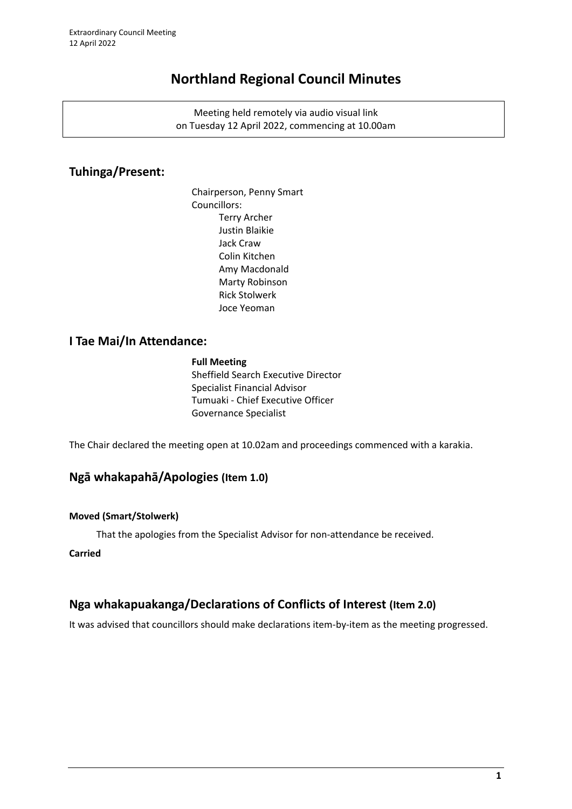# **Northland Regional Council Minutes**

Meeting held remotely via audio visual link on Tuesday 12 April 2022, commencing at 10.00am

### **Tuhinga/Present:**

Chairperson, Penny Smart Councillors: Terry Archer Justin Blaikie Jack Craw Colin Kitchen Amy Macdonald Marty Robinson Rick Stolwerk Joce Yeoman

### **I Tae Mai/In Attendance:**

#### **Full Meeting**

Sheffield Search Executive Director Specialist Financial Advisor Tumuaki - Chief Executive Officer Governance Specialist

The Chair declared the meeting open at 10.02am and proceedings commenced with a karakia.

### **Ngā whakapahā/Apologies (Item 1.0)**

#### **Moved (Smart/Stolwerk)**

That the apologies from the Specialist Advisor for non-attendance be received.

#### **Carried**

## **Nga whakapuakanga/Declarations of Conflicts of Interest (Item 2.0)**

It was advised that councillors should make declarations item-by-item as the meeting progressed.